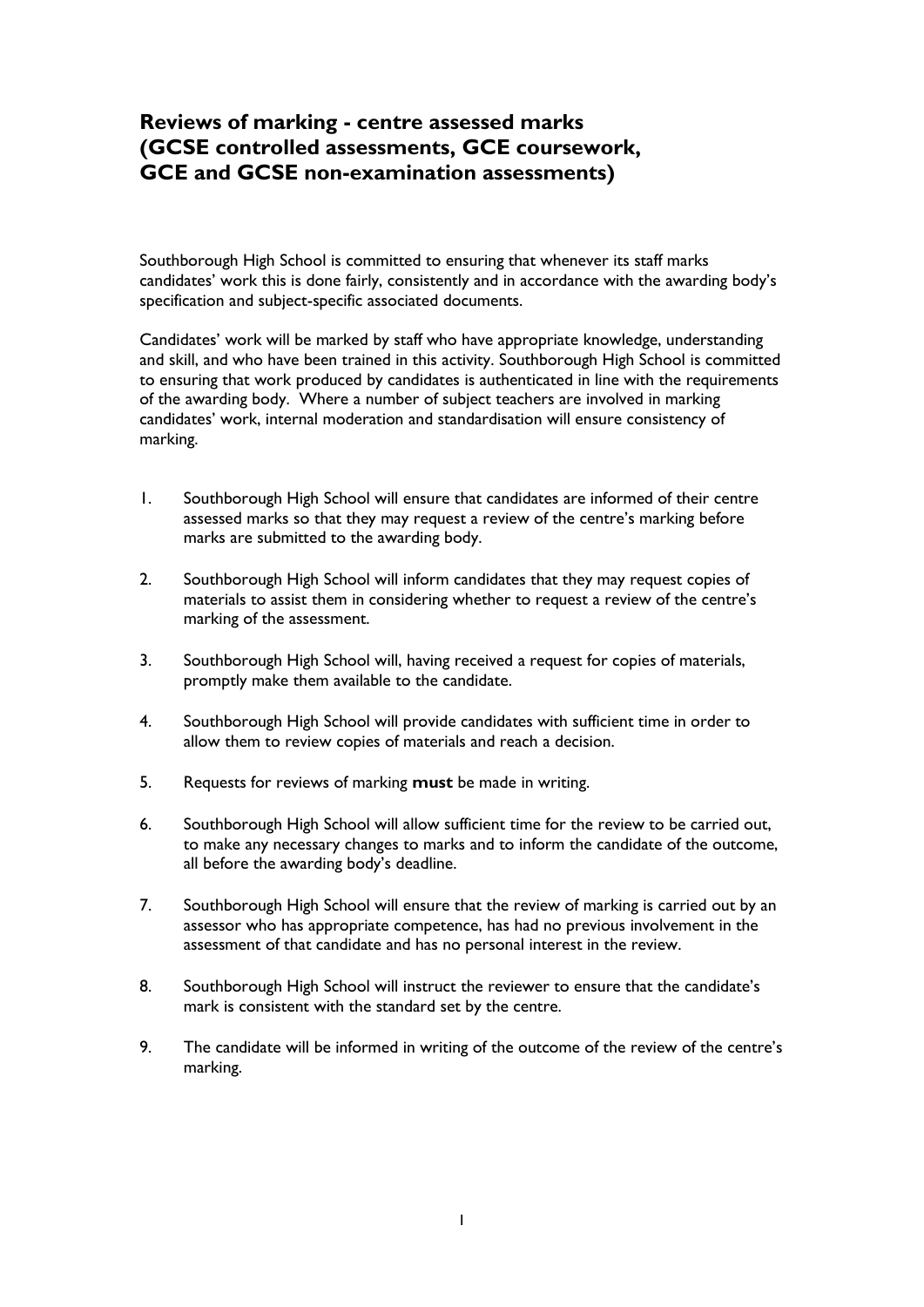## **Reviews of marking - centre assessed marks (GCSE controlled assessments, GCE coursework, GCE and GCSE non-examination assessments)**

Southborough High School is committed to ensuring that whenever its staff marks candidates' work this is done fairly, consistently and in accordance with the awarding body's specification and subject-specific associated documents.

Candidates' work will be marked by staff who have appropriate knowledge, understanding and skill, and who have been trained in this activity. Southborough High School is committed to ensuring that work produced by candidates is authenticated in line with the requirements of the awarding body. Where a number of subject teachers are involved in marking candidates' work, internal moderation and standardisation will ensure consistency of marking.

- 1. Southborough High School will ensure that candidates are informed of their centre assessed marks so that they may request a review of the centre's marking before marks are submitted to the awarding body.
- 2. Southborough High School will inform candidates that they may request copies of materials to assist them in considering whether to request a review of the centre's marking of the assessment.
- 3. Southborough High School will, having received a request for copies of materials, promptly make them available to the candidate.
- 4. Southborough High School will provide candidates with sufficient time in order to allow them to review copies of materials and reach a decision.
- 5. Requests for reviews of marking **must** be made in writing.
- 6. Southborough High School will allow sufficient time for the review to be carried out, to make any necessary changes to marks and to inform the candidate of the outcome, all before the awarding body's deadline.
- 7. Southborough High School will ensure that the review of marking is carried out by an assessor who has appropriate competence, has had no previous involvement in the assessment of that candidate and has no personal interest in the review.
- 8. Southborough High School will instruct the reviewer to ensure that the candidate's mark is consistent with the standard set by the centre.
- 9. The candidate will be informed in writing of the outcome of the review of the centre's marking.